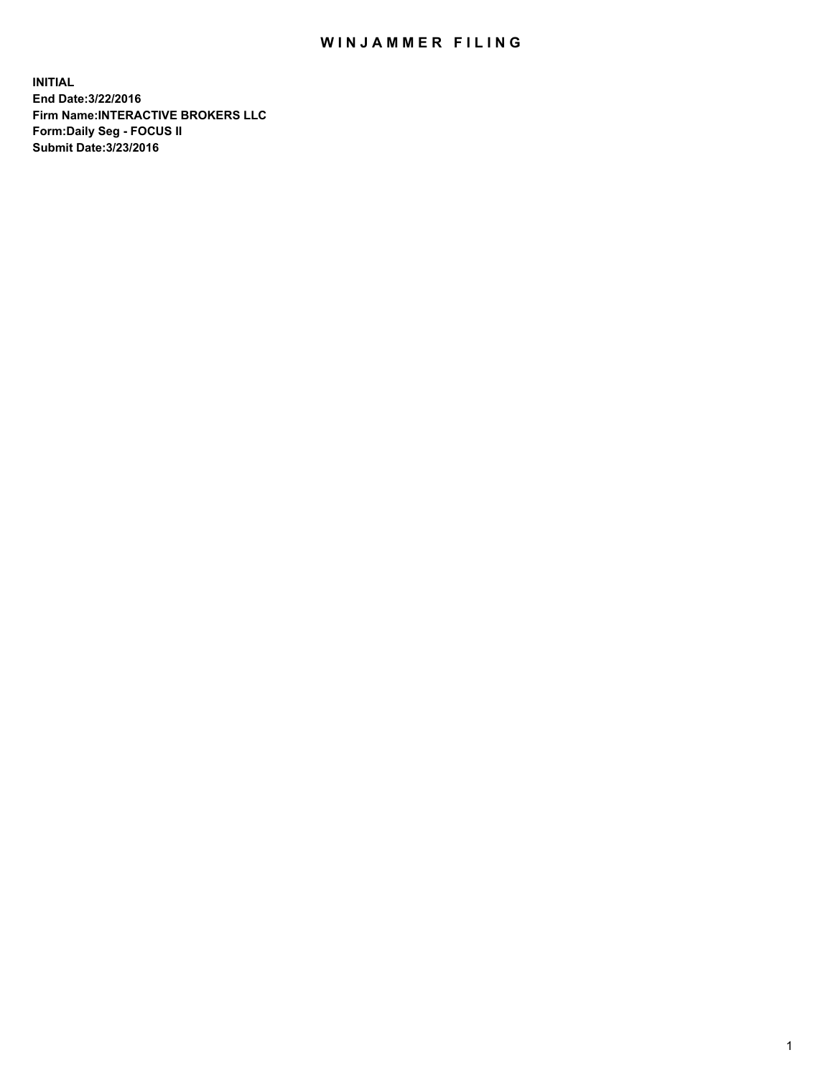## WIN JAMMER FILING

**INITIAL End Date:3/22/2016 Firm Name:INTERACTIVE BROKERS LLC Form:Daily Seg - FOCUS II Submit Date:3/23/2016**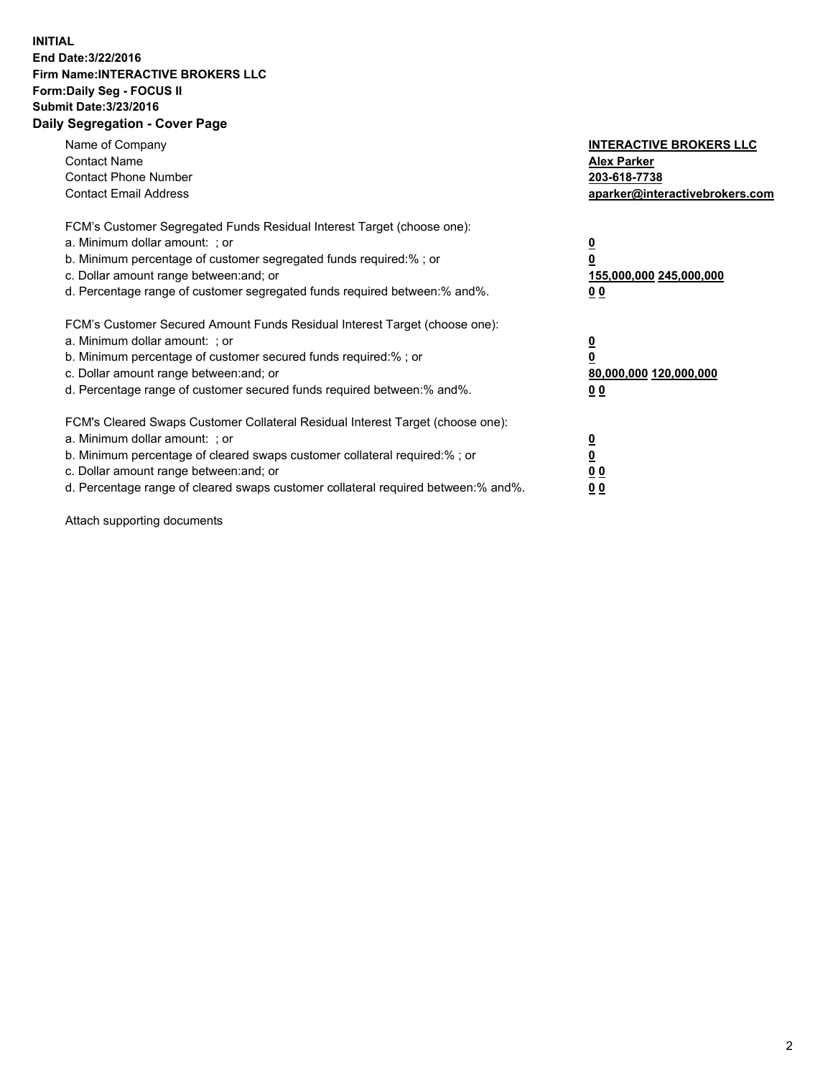## **INITIAL End Date:3/22/2016 Firm Name:INTERACTIVE BROKERS LLC Form:Daily Seg - FOCUS II Submit Date:3/23/2016 Daily Segregation - Cover Page**

| Name of Company<br><b>Contact Name</b><br><b>Contact Phone Number</b><br><b>Contact Email Address</b>                                                                                                                                                                                                                          | <b>INTERACTIVE BROKERS LLC</b><br><b>Alex Parker</b><br>203-618-7738<br>aparker@interactivebrokers.com |
|--------------------------------------------------------------------------------------------------------------------------------------------------------------------------------------------------------------------------------------------------------------------------------------------------------------------------------|--------------------------------------------------------------------------------------------------------|
| FCM's Customer Segregated Funds Residual Interest Target (choose one):<br>a. Minimum dollar amount: ; or<br>b. Minimum percentage of customer segregated funds required:%; or<br>c. Dollar amount range between: and; or<br>d. Percentage range of customer segregated funds required between:% and%.                          | <u>0</u><br>155,000,000 245,000,000<br><u>0 0</u>                                                      |
| FCM's Customer Secured Amount Funds Residual Interest Target (choose one):<br>a. Minimum dollar amount: ; or<br>b. Minimum percentage of customer secured funds required:% ; or<br>c. Dollar amount range between: and; or<br>d. Percentage range of customer secured funds required between:% and%.                           | <u>0</u><br>80,000,000 120,000,000<br><u>0 0</u>                                                       |
| FCM's Cleared Swaps Customer Collateral Residual Interest Target (choose one):<br>a. Minimum dollar amount: ; or<br>b. Minimum percentage of cleared swaps customer collateral required:% ; or<br>c. Dollar amount range between: and; or<br>d. Percentage range of cleared swaps customer collateral required between:% and%. | <u>0</u><br>0 <sub>0</sub><br>0 <sub>0</sub>                                                           |

Attach supporting documents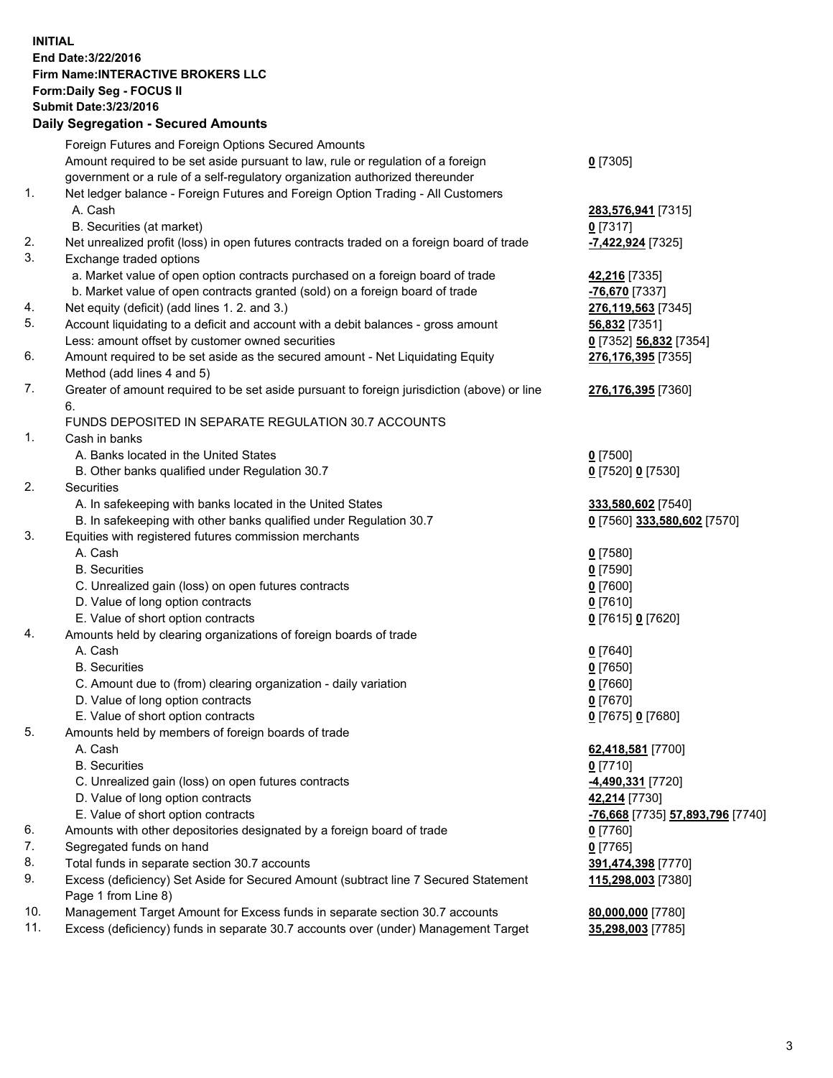## **INITIAL End Date:3/22/2016 Firm Name:INTERACTIVE BROKERS LLC Form:Daily Seg - FOCUS II Submit Date:3/23/2016 Daily Segregation - Secured Amounts**

|     | Daily Jegregation - Jeculed Aniounts                                                        |                                  |
|-----|---------------------------------------------------------------------------------------------|----------------------------------|
|     | Foreign Futures and Foreign Options Secured Amounts                                         |                                  |
|     | Amount required to be set aside pursuant to law, rule or regulation of a foreign            | $0$ [7305]                       |
|     | government or a rule of a self-regulatory organization authorized thereunder                |                                  |
| 1.  | Net ledger balance - Foreign Futures and Foreign Option Trading - All Customers             |                                  |
|     | A. Cash                                                                                     | 283,576,941 [7315]               |
|     | B. Securities (at market)                                                                   | $0$ [7317]                       |
| 2.  | Net unrealized profit (loss) in open futures contracts traded on a foreign board of trade   | -7,422,924 [7325]                |
| 3.  | Exchange traded options                                                                     |                                  |
|     | a. Market value of open option contracts purchased on a foreign board of trade              | 42,216 [7335]                    |
|     | b. Market value of open contracts granted (sold) on a foreign board of trade                | -76,670 [7337]                   |
| 4.  | Net equity (deficit) (add lines 1.2. and 3.)                                                | 276,119,563 [7345]               |
| 5.  | Account liquidating to a deficit and account with a debit balances - gross amount           | 56,832 [7351]                    |
|     | Less: amount offset by customer owned securities                                            | 0 [7352] 56,832 [7354]           |
| 6.  | Amount required to be set aside as the secured amount - Net Liquidating Equity              | 276, 176, 395 [7355]             |
|     | Method (add lines 4 and 5)                                                                  |                                  |
| 7.  | Greater of amount required to be set aside pursuant to foreign jurisdiction (above) or line | 276,176,395 [7360]               |
|     | 6.                                                                                          |                                  |
|     | FUNDS DEPOSITED IN SEPARATE REGULATION 30.7 ACCOUNTS                                        |                                  |
| 1.  | Cash in banks                                                                               |                                  |
|     | A. Banks located in the United States                                                       | $0$ [7500]                       |
|     | B. Other banks qualified under Regulation 30.7                                              | 0 [7520] 0 [7530]                |
| 2.  | Securities                                                                                  |                                  |
|     | A. In safekeeping with banks located in the United States                                   | 333,580,602 [7540]               |
|     | B. In safekeeping with other banks qualified under Regulation 30.7                          | 0 [7560] 333,580,602 [7570]      |
| 3.  | Equities with registered futures commission merchants                                       |                                  |
|     | A. Cash                                                                                     | $0$ [7580]                       |
|     | <b>B.</b> Securities                                                                        | $0$ [7590]                       |
|     | C. Unrealized gain (loss) on open futures contracts                                         | $0$ [7600]                       |
|     | D. Value of long option contracts                                                           | $0$ [7610]                       |
|     | E. Value of short option contracts                                                          | 0 [7615] 0 [7620]                |
| 4.  | Amounts held by clearing organizations of foreign boards of trade                           |                                  |
|     | A. Cash                                                                                     | $0$ [7640]                       |
|     | <b>B.</b> Securities                                                                        | $0$ [7650]                       |
|     | C. Amount due to (from) clearing organization - daily variation                             | $0$ [7660]                       |
|     | D. Value of long option contracts                                                           | $0$ [7670]                       |
|     | E. Value of short option contracts                                                          | 0 [7675] 0 [7680]                |
| 5.  | Amounts held by members of foreign boards of trade                                          |                                  |
|     | A. Cash                                                                                     | 62,418,581 [7700]                |
|     | <b>B.</b> Securities                                                                        | $0$ [7710]                       |
|     | C. Unrealized gain (loss) on open futures contracts                                         | $-4,490,331$ [7720]              |
|     | D. Value of long option contracts                                                           | 42,214 [7730]                    |
|     | E. Value of short option contracts                                                          | -76,668 [7735] 57,893,796 [7740] |
| 6.  | Amounts with other depositories designated by a foreign board of trade                      | 0 [7760]                         |
| 7.  | Segregated funds on hand                                                                    | $0$ [7765]                       |
| 8.  | Total funds in separate section 30.7 accounts                                               | 391,474,398 [7770]               |
| 9.  | Excess (deficiency) Set Aside for Secured Amount (subtract line 7 Secured Statement         | 115,298,003 [7380]               |
|     | Page 1 from Line 8)                                                                         |                                  |
| 10. | Management Target Amount for Excess funds in separate section 30.7 accounts                 | 80,000,000 [7780]                |
| 11. | Excess (deficiency) funds in separate 30.7 accounts over (under) Management Target          | 35,298,003 [7785]                |
|     |                                                                                             |                                  |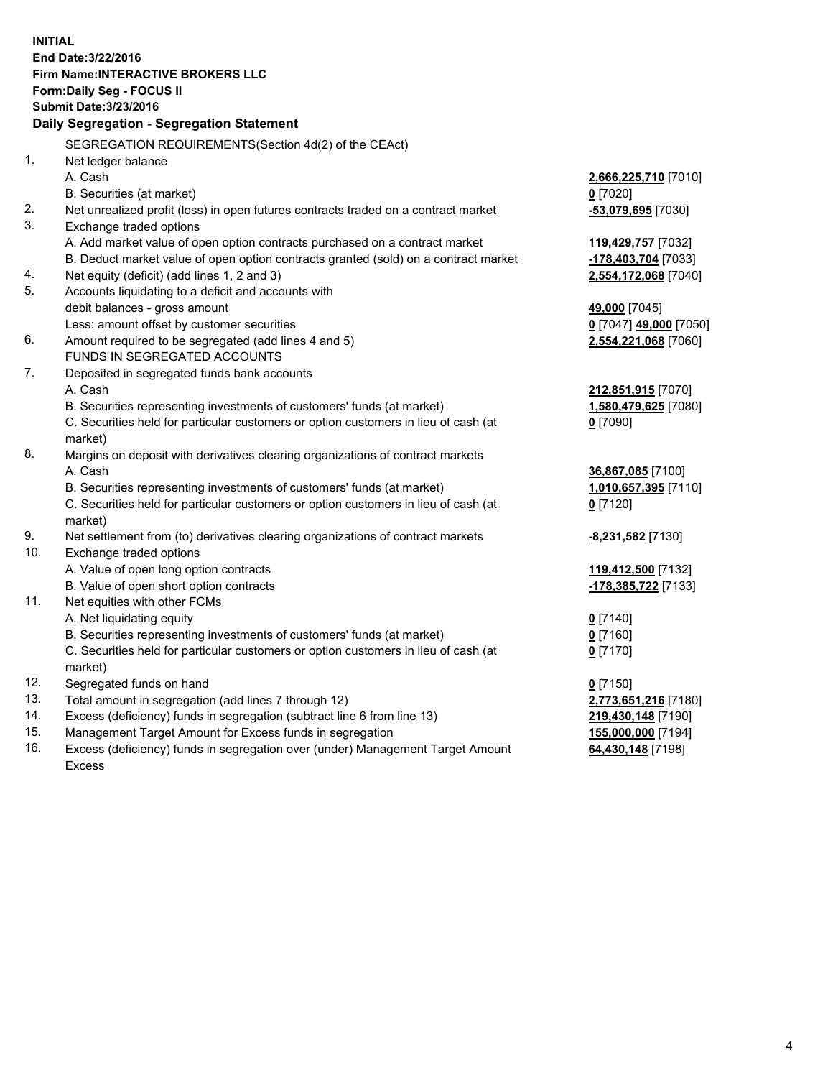**INITIAL End Date:3/22/2016 Firm Name:INTERACTIVE BROKERS LLC Form:Daily Seg - FOCUS II Submit Date:3/23/2016 Daily Segregation - Segregation Statement** SEGREGATION REQUIREMENTS(Section 4d(2) of the CEAct) 1. Net ledger balance A. Cash **2,666,225,710** [7010] B. Securities (at market) **0** [7020] 2. Net unrealized profit (loss) in open futures contracts traded on a contract market **-53,079,695** [7030] 3. Exchange traded options A. Add market value of open option contracts purchased on a contract market **119,429,757** [7032] B. Deduct market value of open option contracts granted (sold) on a contract market **-178,403,704** [7033] 4. Net equity (deficit) (add lines 1, 2 and 3) **2,554,172,068** [7040] 5. Accounts liquidating to a deficit and accounts with debit balances - gross amount **49,000** [7045] Less: amount offset by customer securities **0** [7047] **49,000** [7050] 6. Amount required to be segregated (add lines 4 and 5) **2,554,221,068** [7060] FUNDS IN SEGREGATED ACCOUNTS 7. Deposited in segregated funds bank accounts A. Cash **212,851,915** [7070] B. Securities representing investments of customers' funds (at market) **1,580,479,625** [7080] C. Securities held for particular customers or option customers in lieu of cash (at market) **0** [7090] 8. Margins on deposit with derivatives clearing organizations of contract markets A. Cash **36,867,085** [7100] B. Securities representing investments of customers' funds (at market) **1,010,657,395** [7110] C. Securities held for particular customers or option customers in lieu of cash (at market) **0** [7120] 9. Net settlement from (to) derivatives clearing organizations of contract markets **-8,231,582** [7130] 10. Exchange traded options A. Value of open long option contracts **119,412,500** [7132] B. Value of open short option contracts **-178,385,722** [7133] 11. Net equities with other FCMs A. Net liquidating equity **0** [7140] B. Securities representing investments of customers' funds (at market) **0** [7160] C. Securities held for particular customers or option customers in lieu of cash (at market) **0** [7170] 12. Segregated funds on hand **0** [7150] 13. Total amount in segregation (add lines 7 through 12) **2,773,651,216** [7180] 14. Excess (deficiency) funds in segregation (subtract line 6 from line 13) **219,430,148** [7190] 15. Management Target Amount for Excess funds in segregation **155,000,000** [7194] **64,430,148** [7198]

16. Excess (deficiency) funds in segregation over (under) Management Target Amount Excess